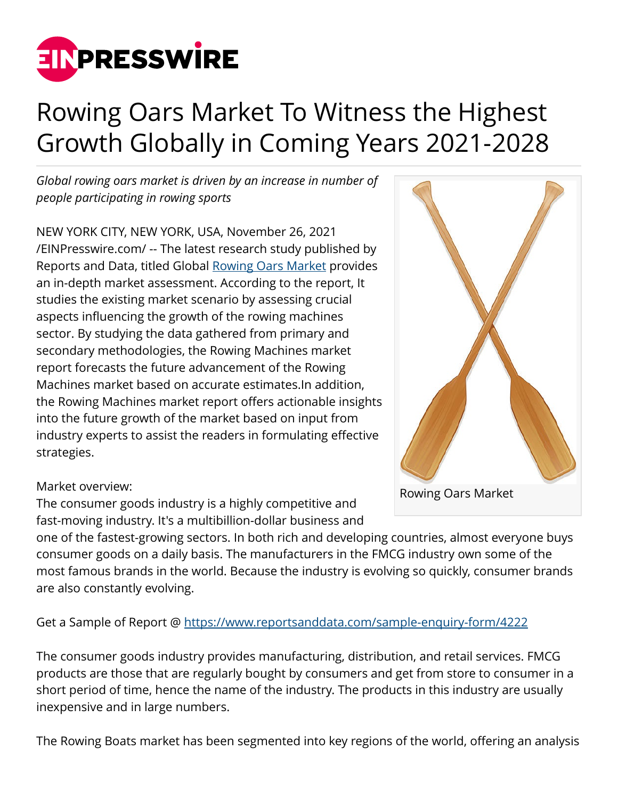

## Rowing Oars Market To Witness the Highest Growth Globally in Coming Years 2021-2028

*Global rowing oars market is driven by an increase in number of people participating in rowing sports*

NEW YORK CITY, NEW YORK, USA, November 26, 2021 [/EINPresswire.com/](http://www.einpresswire.com) -- The latest research study published by Reports and Data, titled Global [Rowing Oars Market](https://www.reportsanddata.com/report-detail/rowing-oars-market) provides an in-depth market assessment. According to the report, It studies the existing market scenario by assessing crucial aspects influencing the growth of the rowing machines sector. By studying the data gathered from primary and secondary methodologies, the Rowing Machines market report forecasts the future advancement of the Rowing Machines market based on accurate estimates.In addition, the Rowing Machines market report offers actionable insights into the future growth of the market based on input from industry experts to assist the readers in formulating effective strategies.

## Rowing Oars Market

## Market overview:

The consumer goods industry is a highly competitive and fast-moving industry. It's a multibillion-dollar business and

one of the fastest-growing sectors. In both rich and developing countries, almost everyone buys consumer goods on a daily basis. The manufacturers in the FMCG industry own some of the most famous brands in the world. Because the industry is evolving so quickly, consumer brands are also constantly evolving.

Get a Sample of Report @<https://www.reportsanddata.com/sample-enquiry-form/4222>

The consumer goods industry provides manufacturing, distribution, and retail services. FMCG products are those that are regularly bought by consumers and get from store to consumer in a short period of time, hence the name of the industry. The products in this industry are usually inexpensive and in large numbers.

The Rowing Boats market has been segmented into key regions of the world, offering an analysis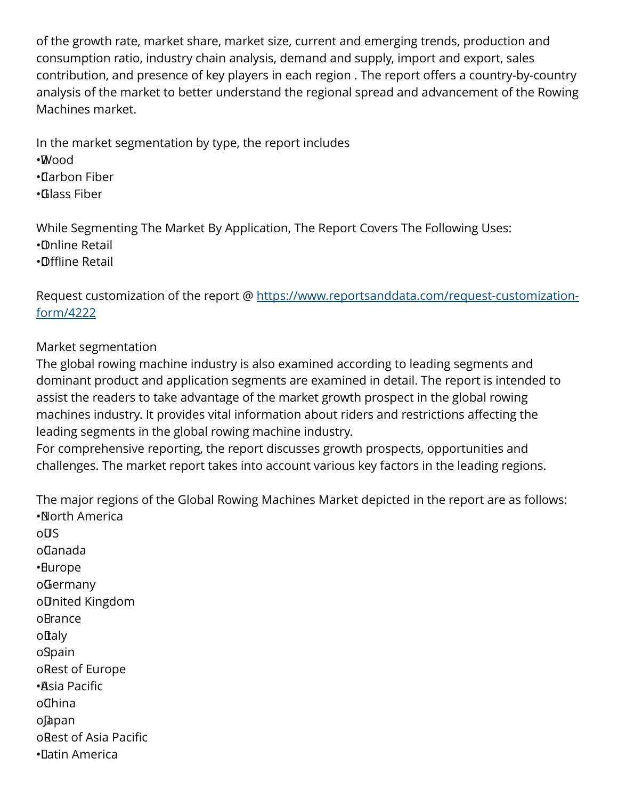of the growth rate, market share, market size, current and emerging trends, production and consumption ratio, industry chain analysis, demand and supply, import and export, sales contribution, and presence of key players in each region . The report offers a country-by-country analysis of the market to better understand the regional spread and advancement of the Rowing Machines market.

In the market segmentation by type, the report includes • Wood • Carbon Fiber • Glass Fiber

While Segmenting The Market By Application, The Report Covers The Following Uses: • Online Retail • Offline Retail

Request customization of the report @ [https://www.reportsanddata.com/request-customization](https://www.reportsanddata.com/request-customization-form/4222)[form/4222](https://www.reportsanddata.com/request-customization-form/4222)

## Market segmentation

The global rowing machine industry is also examined according to leading segments and dominant product and application segments are examined in detail. The report is intended to assist the readers to take advantage of the market growth prospect in the global rowing machines industry. It provides vital information about riders and restrictions affecting the leading segments in the global rowing machine industry.

For comprehensive reporting, the report discusses growth prospects, opportunities and challenges. The market report takes into account various key factors in the leading regions.

The major regions of the Global Rowing Machines Market depicted in the report are as follows: • North America

oDS o Canada • Europe o Germany o United Kingdom oBrance oftaly o Spain o Rest of Europe • Asia Pacific o**Thina** o Japan o Rest of Asia Pacific • Latin America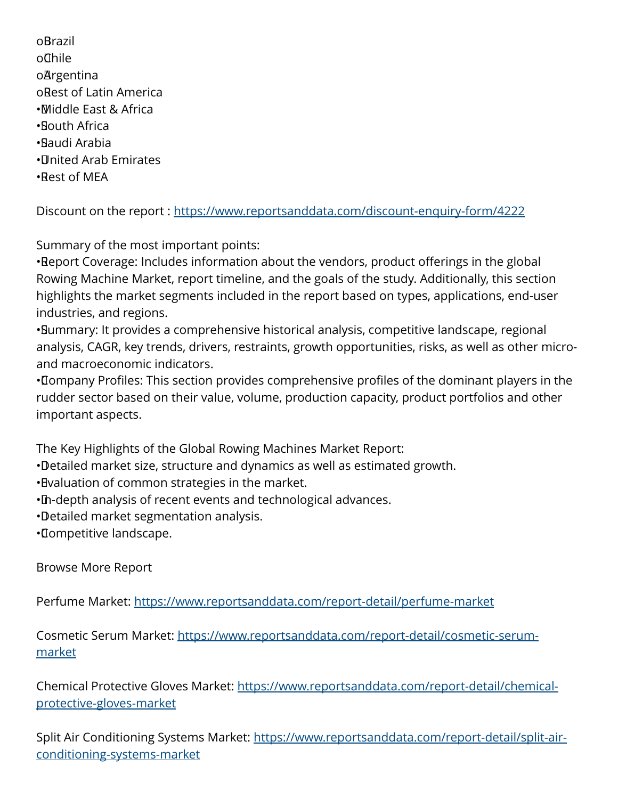o Brazil o Chile **oArgentina** o Rest of Latin America • Middle East & Africa • South Africa • Saudi Arabia • United Arab Emirates • Rest of MEA

Discount on the report :<https://www.reportsanddata.com/discount-enquiry-form/4222>

Summary of the most important points:

• Report Coverage: Includes information about the vendors, product offerings in the global Rowing Machine Market, report timeline, and the goals of the study. Additionally, this section highlights the market segments included in the report based on types, applications, end-user industries, and regions.

• Summary: It provides a comprehensive historical analysis, competitive landscape, regional analysis, CAGR, key trends, drivers, restraints, growth opportunities, risks, as well as other microand macroeconomic indicators.

• Company Profiles: This section provides comprehensive profiles of the dominant players in the rudder sector based on their value, volume, production capacity, product portfolios and other important aspects.

The Key Highlights of the Global Rowing Machines Market Report:

- • Detailed market size, structure and dynamics as well as estimated growth.
- • Evaluation of common strategies in the market.
- • In-depth analysis of recent events and technological advances.
- • Detailed market segmentation analysis.
- • Competitive landscape.

Browse More Report

Perfume Market: <https://www.reportsanddata.com/report-detail/perfume-market>

Cosmetic Serum Market: [https://www.reportsanddata.com/report-detail/cosmetic-serum](https://www.reportsanddata.com/report-detail/cosmetic-serum-market)[market](https://www.reportsanddata.com/report-detail/cosmetic-serum-market)

Chemical Protective Gloves Market: [https://www.reportsanddata.com/report-detail/chemical](https://www.reportsanddata.com/report-detail/chemical-protective-gloves-market)[protective-gloves-market](https://www.reportsanddata.com/report-detail/chemical-protective-gloves-market)

Split Air Conditioning Systems Market: [https://www.reportsanddata.com/report-detail/split-air](https://www.reportsanddata.com/report-detail/split-air-conditioning-systems-market)[conditioning-systems-market](https://www.reportsanddata.com/report-detail/split-air-conditioning-systems-market)